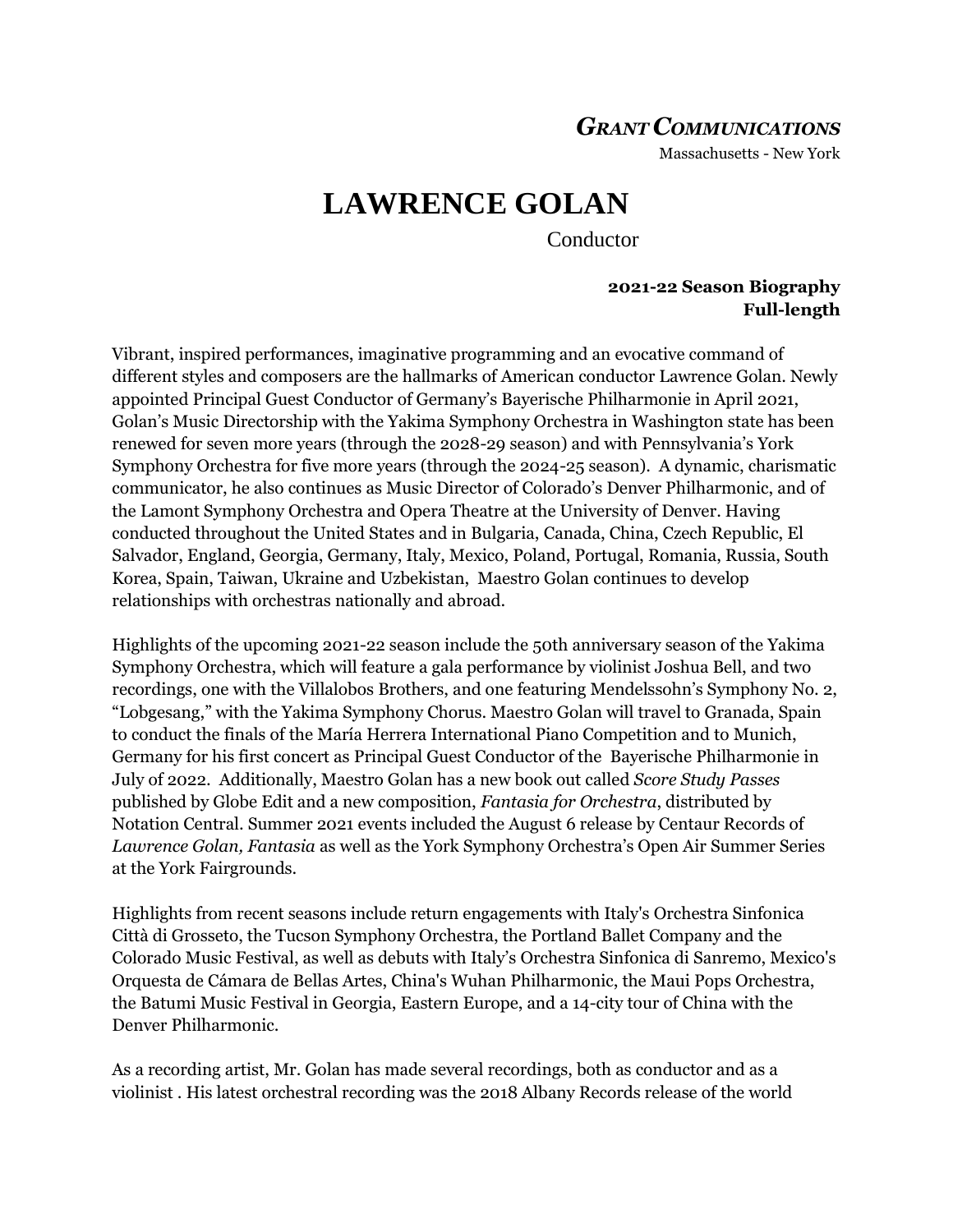## *GRANT COMMUNICATIONS*

Massachusetts - New York

# **LAWRENCE GOLAN**

Conductor

#### **2021-22 Season Biography Full-length**

Vibrant, inspired performances, imaginative programming and an evocative command of different styles and composers are the hallmarks of American conductor Lawrence Golan. Newly appointed Principal Guest Conductor of Germany's Bayerische Philharmonie in April 2021, Golan's Music Directorship with the Yakima Symphony Orchestra in Washington state has been renewed for seven more years (through the 2028-29 season) and with Pennsylvania's York Symphony Orchestra for five more years (through the 2024-25 season). A dynamic, charismatic communicator, he also continues as Music Director of Colorado's Denver Philharmonic, and of the Lamont Symphony Orchestra and Opera Theatre at the University of Denver. Having conducted throughout the United States and in Bulgaria, Canada, China, Czech Republic, El Salvador, England, Georgia, Germany, Italy, Mexico, Poland, Portugal, Romania, Russia, South Korea, Spain, Taiwan, Ukraine and Uzbekistan, Maestro Golan continues to develop relationships with orchestras nationally and abroad.

Highlights of the upcoming 2021-22 season include the 50th anniversary season of the Yakima Symphony Orchestra, which will feature a gala performance by violinist Joshua Bell, and two recordings, one with the Villalobos Brothers, and one featuring Mendelssohn's Symphony No. 2, "Lobgesang," with the Yakima Symphony Chorus. Maestro Golan will travel to Granada, Spain to conduct the finals of the María Herrera International Piano Competition and to Munich, Germany for his first concert as Principal Guest Conductor of the Bayerische Philharmonie in July of 2022. Additionally, Maestro Golan has a new book out called *Score Study Passes* published by Globe Edit and a new composition, *Fantasia for Orchestra*, distributed by Notation Central. Summer 2021 events included the August 6 release by Centaur Records of *Lawrence Golan, Fantasia* as well as the York Symphony Orchestra's Open Air Summer Series at the York Fairgrounds.

Highlights from recent seasons include return engagements with Italy's Orchestra Sinfonica Città di Grosseto, the Tucson Symphony Orchestra, the Portland Ballet Company and the Colorado Music Festival, as well as debuts with Italy's Orchestra Sinfonica di Sanremo, Mexico's Orquesta de Cámara de Bellas Artes, China's Wuhan Philharmonic, the Maui Pops Orchestra, the Batumi Music Festival in Georgia, Eastern Europe, and a 14-city tour of China with the Denver Philharmonic.

As a recording artist, Mr. Golan has made several recordings, both as conductor and as a violinist . His latest orchestral recording was the 2018 Albany Records release of the world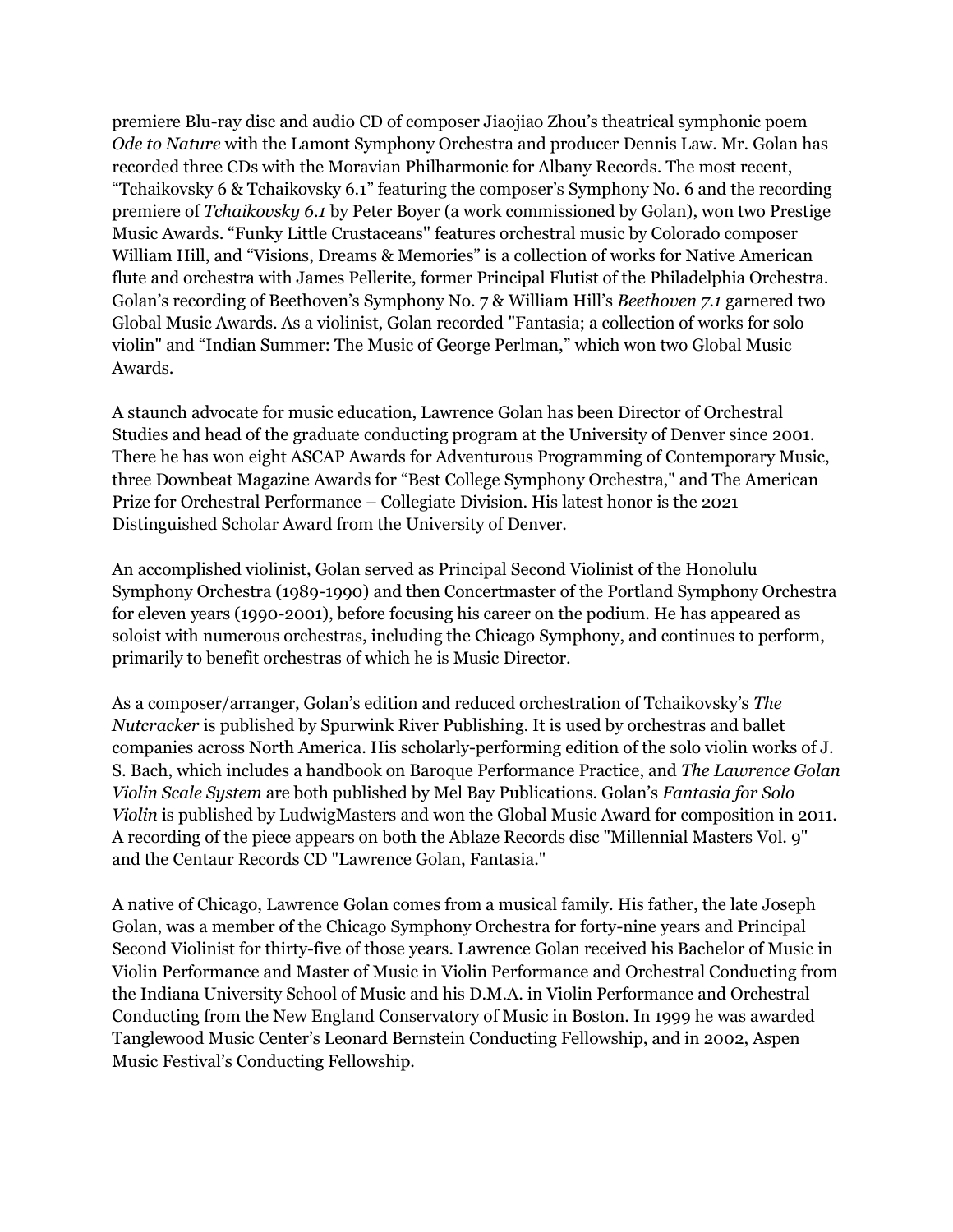premiere Blu-ray disc and audio CD of composer Jiaojiao Zhou's theatrical symphonic poem *Ode to Nature* with the Lamont Symphony Orchestra and producer Dennis Law. Mr. Golan has recorded three CDs with the Moravian Philharmonic for Albany Records. The most recent, "Tchaikovsky 6 & Tchaikovsky 6.1" featuring the composer's Symphony No. 6 and the recording premiere of *Tchaikovsky 6.1* by Peter Boyer (a work commissioned by Golan), won two Prestige Music Awards. "Funky Little Crustaceans'' features orchestral music by Colorado composer William Hill, and "Visions, Dreams & Memories" is a collection of works for Native American flute and orchestra with James Pellerite, former Principal Flutist of the Philadelphia Orchestra. Golan's recording of Beethoven's Symphony No. 7 & William Hill's *Beethoven 7.1* garnered two Global Music Awards. As a violinist, Golan recorded "Fantasia; a collection of works for solo violin" and "Indian Summer: The Music of George Perlman," which won two Global Music Awards.

A staunch advocate for music education, Lawrence Golan has been Director of Orchestral Studies and head of the graduate conducting program at the University of Denver since 2001. There he has won eight ASCAP Awards for Adventurous Programming of Contemporary Music, three Downbeat Magazine Awards for "Best College Symphony Orchestra," and The American Prize for Orchestral Performance – Collegiate Division. His latest honor is the 2021 Distinguished Scholar Award from the University of Denver.

An accomplished violinist, Golan served as Principal Second Violinist of the Honolulu Symphony Orchestra (1989-1990) and then Concertmaster of the Portland Symphony Orchestra for eleven years (1990-2001), before focusing his career on the podium. He has appeared as soloist with numerous orchestras, including the Chicago Symphony, and continues to perform, primarily to benefit orchestras of which he is Music Director.

As a composer/arranger, Golan's edition and reduced orchestration of Tchaikovsky's *The Nutcracker* is published by Spurwink River Publishing. It is used by orchestras and ballet companies across North America. His scholarly-performing edition of the solo violin works of J. S. Bach, which includes a handbook on Baroque Performance Practice, and *The Lawrence Golan Violin Scale System* are both published by Mel Bay Publications. Golan's *Fantasia for Solo Violin* is published by LudwigMasters and won the Global Music Award for composition in 2011. A recording of the piece appears on both the Ablaze Records disc "Millennial Masters Vol. 9" and the Centaur Records CD "Lawrence Golan, Fantasia."

A native of Chicago, Lawrence Golan comes from a musical family. His father, the late Joseph Golan, was a member of the Chicago Symphony Orchestra for forty-nine years and Principal Second Violinist for thirty-five of those years. Lawrence Golan received his Bachelor of Music in Violin Performance and Master of Music in Violin Performance and Orchestral Conducting from the Indiana University School of Music and his D.M.A. in Violin Performance and Orchestral Conducting from the New England Conservatory of Music in Boston. In 1999 he was awarded Tanglewood Music Center's Leonard Bernstein Conducting Fellowship, and in 2002, Aspen Music Festival's Conducting Fellowship.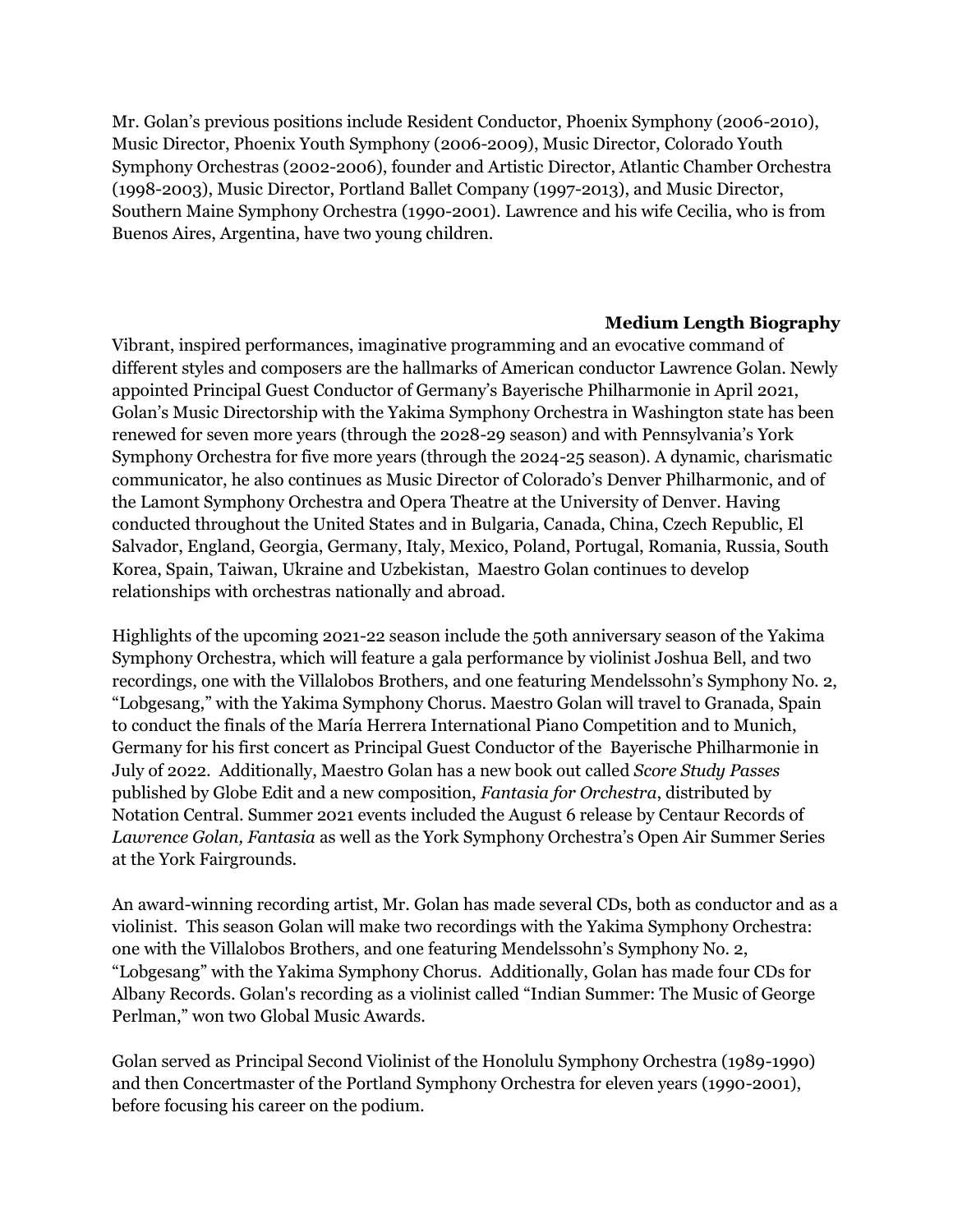Mr. Golan's previous positions include Resident Conductor, Phoenix Symphony (2006-2010), Music Director, Phoenix Youth Symphony (2006-2009), Music Director, Colorado Youth Symphony Orchestras (2002-2006), founder and Artistic Director, Atlantic Chamber Orchestra (1998-2003), Music Director, Portland Ballet Company (1997-2013), and Music Director, Southern Maine Symphony Orchestra (1990-2001). Lawrence and his wife Cecilia, who is from Buenos Aires, Argentina, have two young children.

### **Medium Length Biography**

Vibrant, inspired performances, imaginative programming and an evocative command of different styles and composers are the hallmarks of American conductor Lawrence Golan. Newly appointed Principal Guest Conductor of Germany's Bayerische Philharmonie in April 2021, Golan's Music Directorship with the Yakima Symphony Orchestra in Washington state has been renewed for seven more years (through the 2028-29 season) and with Pennsylvania's York Symphony Orchestra for five more years (through the 2024-25 season). A dynamic, charismatic communicator, he also continues as Music Director of Colorado's Denver Philharmonic, and of the Lamont Symphony Orchestra and Opera Theatre at the University of Denver. Having conducted throughout the United States and in Bulgaria, Canada, China, Czech Republic, El Salvador, England, Georgia, Germany, Italy, Mexico, Poland, Portugal, Romania, Russia, South Korea, Spain, Taiwan, Ukraine and Uzbekistan, Maestro Golan continues to develop relationships with orchestras nationally and abroad.

Highlights of the upcoming 2021-22 season include the 50th anniversary season of the Yakima Symphony Orchestra, which will feature a gala performance by violinist Joshua Bell, and two recordings, one with the Villalobos Brothers, and one featuring Mendelssohn's Symphony No. 2, "Lobgesang," with the Yakima Symphony Chorus. Maestro Golan will travel to Granada, Spain to conduct the finals of the María Herrera International Piano Competition and to Munich, Germany for his first concert as Principal Guest Conductor of the Bayerische Philharmonie in July of 2022. Additionally, Maestro Golan has a new book out called *Score Study Passes*  published by Globe Edit and a new composition, *Fantasia for Orchestra*, distributed by Notation Central. Summer 2021 events included the August 6 release by Centaur Records of *Lawrence Golan, Fantasia* as well as the York Symphony Orchestra's Open Air Summer Series at the York Fairgrounds.

An award-winning recording artist, Mr. Golan has made several CDs, both as conductor and as a violinist. This season Golan will make two recordings with the Yakima Symphony Orchestra: one with the Villalobos Brothers, and one featuring Mendelssohn's Symphony No. 2, "Lobgesang" with the Yakima Symphony Chorus. Additionally, Golan has made four CDs for Albany Records. Golan's recording as a violinist called "Indian Summer: The Music of George Perlman," won two Global Music Awards.

Golan served as Principal Second Violinist of the Honolulu Symphony Orchestra (1989-1990) and then Concertmaster of the Portland Symphony Orchestra for eleven years (1990-2001), before focusing his career on the podium.